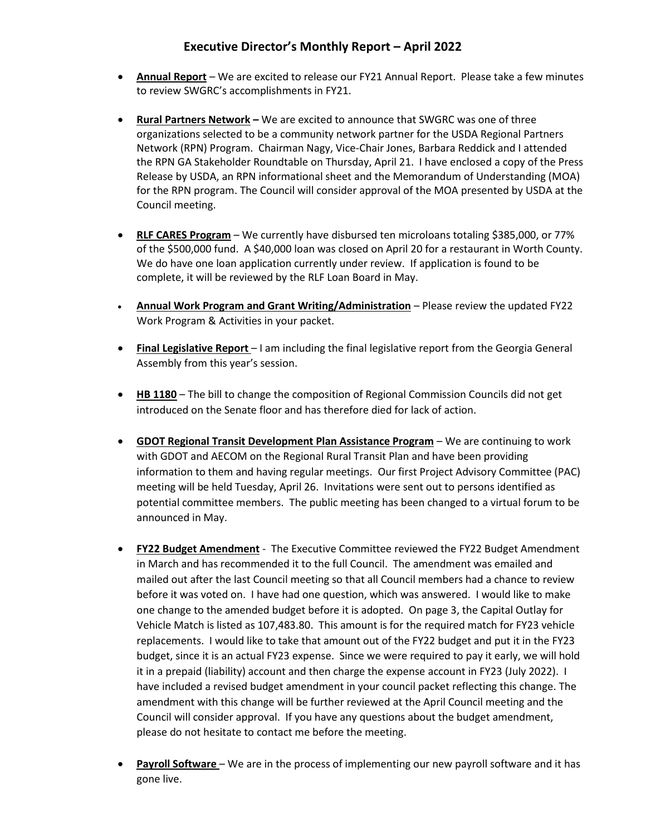## **Executive Director's Monthly Report – April 2022**

- **Annual Report** We are excited to release our FY21 Annual Report. Please take a few minutes to review SWGRC's accomplishments in FY21.
- **Rural Partners Network –** We are excited to announce that SWGRC was one of three organizations selected to be a community network partner for the USDA Regional Partners Network (RPN) Program. Chairman Nagy, Vice-Chair Jones, Barbara Reddick and I attended the RPN GA Stakeholder Roundtable on Thursday, April 21. I have enclosed a copy of the Press Release by USDA, an RPN informational sheet and the Memorandum of Understanding (MOA) for the RPN program. The Council will consider approval of the MOA presented by USDA at the Council meeting.
- **RLF CARES Program** We currently have disbursed ten microloans totaling \$385,000, or 77% of the \$500,000 fund. A \$40,000 loan was closed on April 20 for a restaurant in Worth County. We do have one loan application currently under review. If application is found to be complete, it will be reviewed by the RLF Loan Board in May.
- **Annual Work Program and Grant Writing/Administration** Please review the updated FY22 Work Program & Activities in your packet.
- **Final Legislative Report**  I am including the final legislative report from the Georgia General Assembly from this year's session.
- **HB 1180** The bill to change the composition of Regional Commission Councils did not get introduced on the Senate floor and has therefore died for lack of action.
- **GDOT Regional Transit Development Plan Assistance Program** We are continuing to work with GDOT and AECOM on the Regional Rural Transit Plan and have been providing information to them and having regular meetings. Our first Project Advisory Committee (PAC) meeting will be held Tuesday, April 26. Invitations were sent out to persons identified as potential committee members. The public meeting has been changed to a virtual forum to be announced in May.
- **FY22 Budget Amendment** The Executive Committee reviewed the FY22 Budget Amendment in March and has recommended it to the full Council. The amendment was emailed and mailed out after the last Council meeting so that all Council members had a chance to review before it was voted on. I have had one question, which was answered. I would like to make one change to the amended budget before it is adopted. On page 3, the Capital Outlay for Vehicle Match is listed as 107,483.80. This amount is for the required match for FY23 vehicle replacements. I would like to take that amount out of the FY22 budget and put it in the FY23 budget, since it is an actual FY23 expense. Since we were required to pay it early, we will hold it in a prepaid (liability) account and then charge the expense account in FY23 (July 2022). I have included a revised budget amendment in your council packet reflecting this change. The amendment with this change will be further reviewed at the April Council meeting and the Council will consider approval. If you have any questions about the budget amendment, please do not hesitate to contact me before the meeting.
- **Payroll Software** We are in the process of implementing our new payroll software and it has gone live.